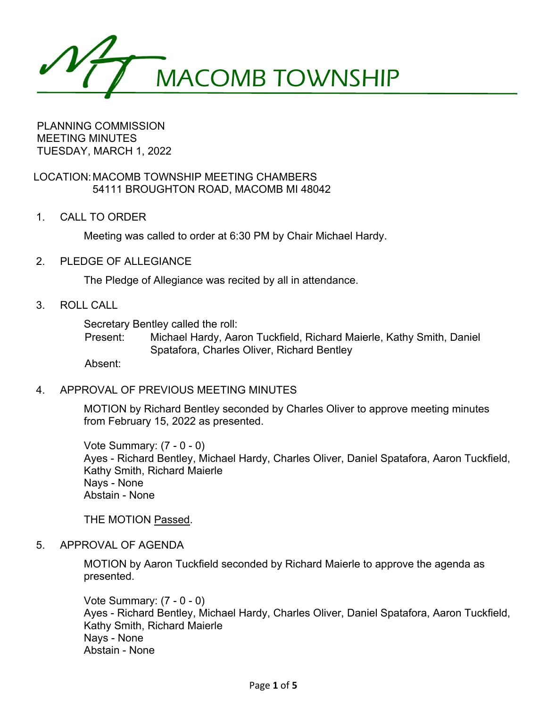MACOMB TOWNSHIP

PLANNING COMMISSION MEETING MINUTES TUESDAY, MARCH 1, 2022

LOCATION:MACOMB TOWNSHIP MEETING CHAMBERS 54111 BROUGHTON ROAD, MACOMB MI 48042

1. CALL TO ORDER

Meeting was called to order at 6:30 PM by Chair Michael Hardy.

2. PLEDGE OF ALLEGIANCE

The Pledge of Allegiance was recited by all in attendance.

3. ROLL CALL

Secretary Bentley called the roll:

Present: Michael Hardy, Aaron Tuckfield, Richard Maierle, Kathy Smith, Daniel Spatafora, Charles Oliver, Richard Bentley

Absent:

4. APPROVAL OF PREVIOUS MEETING MINUTES

MOTION by Richard Bentley seconded by Charles Oliver to approve meeting minutes from February 15, 2022 as presented.

Vote Summary: (7 - 0 - 0) Ayes - Richard Bentley, Michael Hardy, Charles Oliver, Daniel Spatafora, Aaron Tuckfield, Kathy Smith, Richard Maierle Nays - None Abstain - None

THE MOTION Passed.

5. APPROVAL OF AGENDA

MOTION by Aaron Tuckfield seconded by Richard Maierle to approve the agenda as presented.

Vote Summary: (7 - 0 - 0) Ayes - Richard Bentley, Michael Hardy, Charles Oliver, Daniel Spatafora, Aaron Tuckfield, Kathy Smith, Richard Maierle Nays - None Abstain - None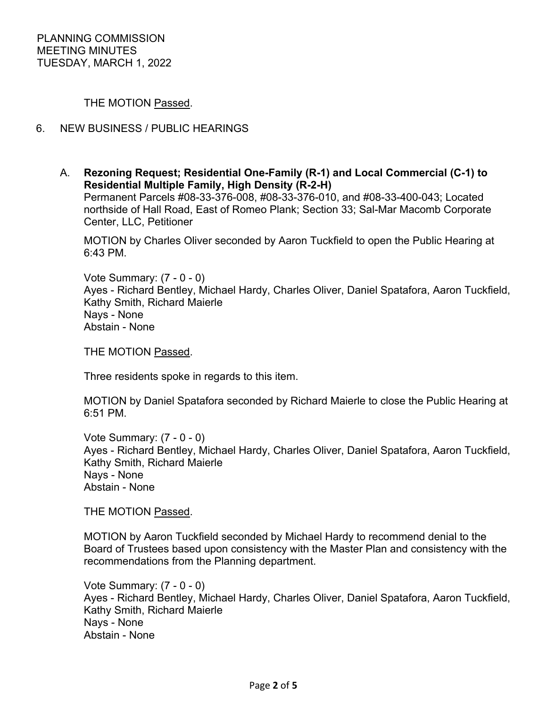THE MOTION Passed.

# 6. NEW BUSINESS / PUBLIC HEARINGS

A. **Rezoning Request; Residential One-Family (R-1) and Local Commercial (C-1) to Residential Multiple Family, High Density (R-2-H)** Permanent Parcels #08-33-376-008, #08-33-376-010, and #08-33-400-043; Located northside of Hall Road, East of Romeo Plank; Section 33; Sal-Mar Macomb Corporate Center, LLC, Petitioner

MOTION by Charles Oliver seconded by Aaron Tuckfield to open the Public Hearing at 6:43 PM.

Vote Summary: (7 - 0 - 0) Ayes - Richard Bentley, Michael Hardy, Charles Oliver, Daniel Spatafora, Aaron Tuckfield, Kathy Smith, Richard Maierle Nays - None Abstain - None

THE MOTION Passed.

Three residents spoke in regards to this item.

MOTION by Daniel Spatafora seconded by Richard Maierle to close the Public Hearing at 6:51 PM.

Vote Summary: (7 - 0 - 0) Ayes - Richard Bentley, Michael Hardy, Charles Oliver, Daniel Spatafora, Aaron Tuckfield, Kathy Smith, Richard Maierle Nays - None Abstain - None

THE MOTION Passed.

MOTION by Aaron Tuckfield seconded by Michael Hardy to recommend denial to the Board of Trustees based upon consistency with the Master Plan and consistency with the recommendations from the Planning department.

Vote Summary: (7 - 0 - 0) Ayes - Richard Bentley, Michael Hardy, Charles Oliver, Daniel Spatafora, Aaron Tuckfield, Kathy Smith, Richard Maierle Nays - None Abstain - None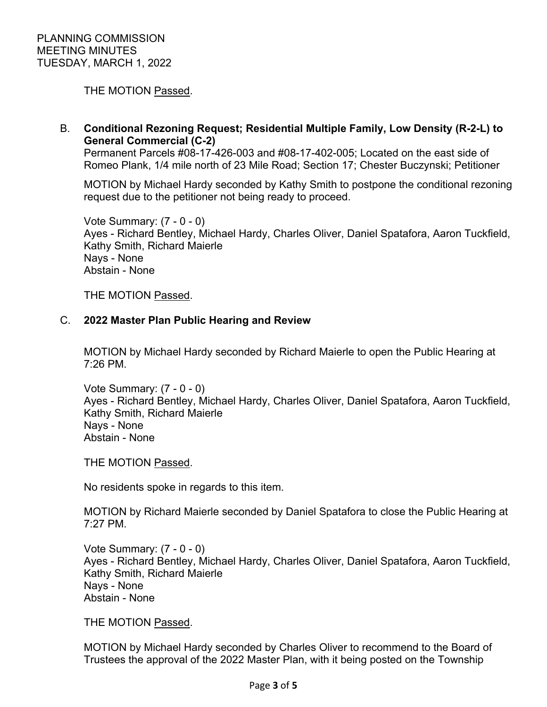THE MOTION Passed.

B. **Conditional Rezoning Request; Residential Multiple Family, Low Density (R-2-L) to General Commercial (C-2)**

Permanent Parcels #08-17-426-003 and #08-17-402-005; Located on the east side of Romeo Plank, 1/4 mile north of 23 Mile Road; Section 17; Chester Buczynski; Petitioner

MOTION by Michael Hardy seconded by Kathy Smith to postpone the conditional rezoning request due to the petitioner not being ready to proceed.

Vote Summary: (7 - 0 - 0) Ayes - Richard Bentley, Michael Hardy, Charles Oliver, Daniel Spatafora, Aaron Tuckfield, Kathy Smith, Richard Maierle Nays - None Abstain - None

THE MOTION Passed.

## C. **2022 Master Plan Public Hearing and Review**

MOTION by Michael Hardy seconded by Richard Maierle to open the Public Hearing at 7:26 PM.

Vote Summary: (7 - 0 - 0) Ayes - Richard Bentley, Michael Hardy, Charles Oliver, Daniel Spatafora, Aaron Tuckfield, Kathy Smith, Richard Maierle Nays - None Abstain - None

THE MOTION Passed.

No residents spoke in regards to this item.

MOTION by Richard Maierle seconded by Daniel Spatafora to close the Public Hearing at 7:27 PM.

Vote Summary: (7 - 0 - 0) Ayes - Richard Bentley, Michael Hardy, Charles Oliver, Daniel Spatafora, Aaron Tuckfield, Kathy Smith, Richard Maierle Nays - None Abstain - None

THE MOTION Passed.

MOTION by Michael Hardy seconded by Charles Oliver to recommend to the Board of Trustees the approval of the 2022 Master Plan, with it being posted on the Township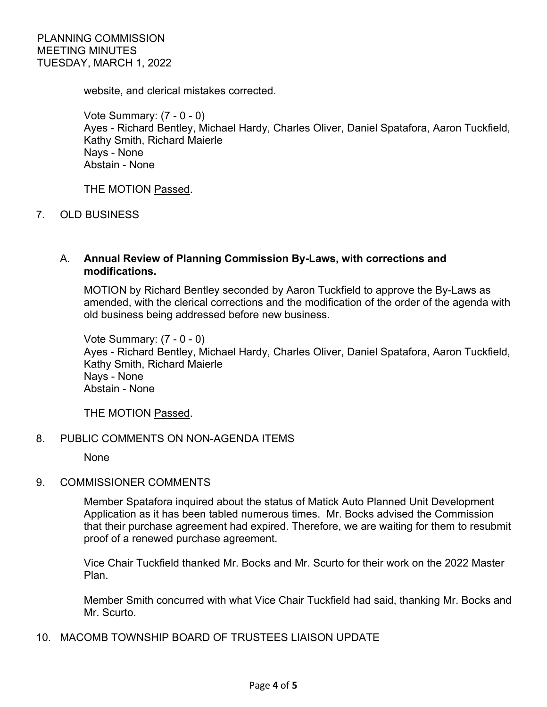website, and clerical mistakes corrected.

Vote Summary: (7 - 0 - 0) Ayes - Richard Bentley, Michael Hardy, Charles Oliver, Daniel Spatafora, Aaron Tuckfield, Kathy Smith, Richard Maierle Nays - None Abstain - None

THE MOTION Passed.

7. OLD BUSINESS

## A. **Annual Review of Planning Commission By-Laws, with corrections and modifications.**

MOTION by Richard Bentley seconded by Aaron Tuckfield to approve the By-Laws as amended, with the clerical corrections and the modification of the order of the agenda with old business being addressed before new business.

Vote Summary: (7 - 0 - 0) Ayes - Richard Bentley, Michael Hardy, Charles Oliver, Daniel Spatafora, Aaron Tuckfield, Kathy Smith, Richard Maierle Nays - None Abstain - None

THE MOTION Passed.

## 8. PUBLIC COMMENTS ON NON-AGENDA ITEMS

None

## 9. COMMISSIONER COMMENTS

Member Spatafora inquired about the status of Matick Auto Planned Unit Development Application as it has been tabled numerous times. Mr. Bocks advised the Commission that their purchase agreement had expired. Therefore, we are waiting for them to resubmit proof of a renewed purchase agreement.

Vice Chair Tuckfield thanked Mr. Bocks and Mr. Scurto for their work on the 2022 Master Plan.

Member Smith concurred with what Vice Chair Tuckfield had said, thanking Mr. Bocks and Mr. Scurto.

10. MACOMB TOWNSHIP BOARD OF TRUSTEES LIAISON UPDATE